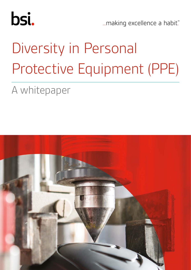

... making excellence a habit."

# Diversity in Personal Protective Equipment (PPE)

## A whitepaper

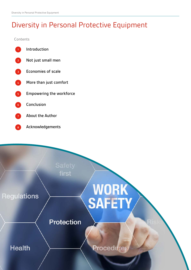## Diversity in Personal Protective Equipment

Contents

- Introduction
- Not just small men 2
- Economies of scale 3
- More than just comfort 4
- Empowering the workforce 5
- Conclusion 6
- About the Author 7
- Acknowledgements 8

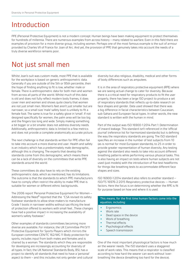#### Introduction

PPE (Personal Protective Equipment) is not a modern concept. Human beings have been making equipment to protect themselves for hundreds of millennia. There are numerous examples from across history – many related to warfare. Even in this field there are examples of provision for a more diverse group, including women. Perhaps one of the most famous example is the suit of armour provided by Charles VII of France for Joan of Arc. And yet, the provision of PPE that genuinely takes into account the needs of a truly diverse workforce remains poor.

## Not just small men

Whilst Joan's suit was custom made, most PPE that is available for the workplace is based on generic anthropometric data. Generally if you are outside of the 5th or 95th percentile, then the hope of finding anything to fit is low, whether male or female. There is anthropometric data for both men and women from across all parts of the world. Whilst much of this data is old and does not fully reflect modern body frames, it does cover men and women and shows quite clearly that women are not just small men. Women's feet aren't just smaller but are narrower, so a small size 'male' safety boot is unlikely to fit a female foot. The same is true for a safety glove in 'small'. If not designed specifically for women, the palm area will be too big and the fingers too long and wide. Simply making something a bit bigger or a bit smaller does not address diversity needs. Additionally, anthropometric data is limited to a few metrics and does not provide a complete anatomically accurate picture.

The next challenge is that standards written for PPE often fail to take into account a more diverse end user. Health and safety is an industry which has a predominately male demographic, although this is changing. The experts that develop the standards come from this demographic, which means there can be a lack of diversity on the committees that write PPE standards around the world.

These committees do also have to rely on the existing anthropometric data, which as mentioned, has its limitations. The outcome is that the standards to which PPE manufacturers have to comply often restrict the ability to make PPE that is suitable for women or different ethnic backgrounds.

The 2006 report 'Personal Protective Equipment For Women – Addressing the Need<sup>1</sup> reported that the "CSA revised its safety footwear standards to allow shoe-makers to manufacture Grade 1 boots in narrower widths without sacrificing the level of protection offered to workers with small feet…These changes have had a positive impact in increasing the availability of women's safety footwear."

Other examples of standards committees becoming more diverse are available. For instance, the UK Committee PH/3/11 Protective Equipment for Sports Players which mirrors the European committee CEN/TC 162/WG 11 Body protection for sports, includes input from both males and females and is chaired by a woman. The standards which they are responsible for developing are increasingly accounting for diversity of all types. In fact, the UK National Standards Body, BSI, has a project to identify all standards that need to have a 'personal' aspect to them – and this includes not only gender and cultural

diversity but also religious, disability, medical and other forms of body differences such as amputees.

It is in the area of respiratory protective equipment (RPE) where we are seeing actual change to cater for diversity. Because there is a critical need for respiratory products to fit the user properly, there has been a large ISO project to produce a set of respiratory standards that reflects up-to-date research on face shapes and gender. Data used showed that there was a big difference in facial characteristics between Caucasian, sub-Sahara and European facial types. In other words, the new standard is written with the human in mind.

Part of the output was ISO 16900-1:2014 Part 1: Determination of inward leakage. This standard isn't referenced in the 'official journal' (reference list for harmonized standards) but is defining the way the respiratory standards are going. The ISO standard specifies an increase in the number of test subjects from 10 (as is normal for most European standards), to 25 in order to provide greater representation of human diversity. Any testing against the standard also needs to take into account different breathing patterns while performing various physical tasks. This is also having an impact on tests where human subjects are not used (just models) with the introduction of five test headforms for things like breathing tests to accommodate different face shapes and sizes.

ISO 16900-1:2014 standard also refers to another standard – ISO/TS 16976-2:2015 Respiratory protective devices — Human factors. Here the focus is on determining whether the RPE is fit for purpose based on how and where it is used.

#### This means, for the first time human factors come into the equation, including:

- **•** Ergonomics
- **•** Work rate
- **•** Dead space in the device
- **•** Work of breathing
- **•** Thermal effects
- **•** Psychological effects
- **•** Speech transmission

One of the most important physiological factors is how much air the wearer needs. The ISO standard uses a staggered scale of work rates. This means that a respirator is classified according to how hard the wearer can work without 'overbreathing' the device (breathing too hard for the device).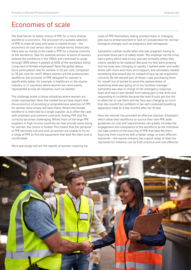#### Economies of scale

The final barrier to better choice of PPE for a more diverse workforce is economic. The provision of a suitable selection of PPE to meet all sizes and sexes is market driven – the economics of cost versus return. In simple terms, historically there was no money to be made in PPE for a diverse minority of the workforce. Take for example women. A boom of women entered the workforce in the 1960s and continued to surge through 1999 where it peaked at 60% of the workplace being comprised of female employees<sup>2</sup>. Now the global labour force participation rate for women is 50 per cent, compared to 76 per cent for men<sup>3</sup>. Where women are the predominant workforce, the provision of PPE designed for women is significantly better, for example in healthcare or the equine industry, or in countries where women are more evenly represented across all industries, such as Sweden.

The challenge arises in those industries where women are under-represented. Here, the market forces have meant that the economics of providing a comprehensive selection of PPE for women have simply not been there. Where the female workforce is restricted to a single supplier, as is often the case with employer procurement contracts, finding PPE that fits correctly becomes challenging. Whilst most of the large PPE suppliers in high income countries do now provide some sizing for women, the choice is limited. This means that the 'personal' in PPE becomes null and void, as women are unable to try on a range of PPE to find the equipment that best fits them and is comfortable.

More worryingly still are the reports of women covering the

costs of PPE themselves, taking sickness leave or changing jobs due to embarrassment or lack of consideration for normal biological changes such as pregnancy and menopause.

Samantha Lushtak recalls when she was pregnant having to purchase three pairs of safety shoes. "My employer (at the time) had a policy which was to buy one pair annually unless they clearly needed to be replaced. Because my feet were growing and my body was changing so rapidly, I needed wider and wider shoes with more and more arch support, and ultimately needed something that would slip on instead of lace-up (an ergonomic concern). By the second pair of shoes, I was purchasing them for myself out of pocket to avoid the awkwardness of explaining what was going on to my facilities manager." Samantha was also in charge of her emergency response team and had to ban herself from taking part in the drills and responding to incidents because the level B suits got too hot to allow her to use them and her face was changing so much that she couldn't be confident in her self-contained breathing apparatus mask fit a few months after her fit test.

Here the internet has provided an effective solution. Employers which allow their workforce to source their own PPE (with guidelines on cost and requirements) can greatly increase the engagement and compliance of the workforce as the individual can take control of the sourcing of PPE that best fits them. Sourcing from countries with a better range, or even different industries – the equine industry has a good range of steel toe cap boots for instance, can be both practical and cost effective.

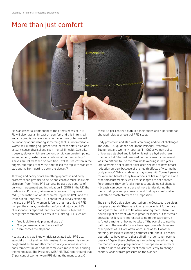## More than just comfort



Fit is an essential component to the effectiveness of PPE. Fit will also have an impact on comfort and this in turn, will impact compliance levels. Any human – male or female, will be unhappy about wearing something that is uncomfortable. Worse still, ill-fitting equipment can increase safety risks and actually cause physical and even mental ill-health. Overalls, trousers, gloves which are too long or big can create tripping, entanglement, dexterity and contamination risks, as legs/ sleeves are rolled, taped or even tied up: "I stuffed cotton in the fingers, put tape at the wrist, and tacked the top with staples to stop sparks from getting down the sleeve..."<sup>2</sup>

Ill-fitting and heavy boots, breathing apparatus and body protectors can give rise to acute and chronic musculoskeletal disorders. Poor fitting PPE can also be used as a source of bullying, harassment and intimidation. In 2016, in the UK, the trade union Prospect, Women in Science and Engineering (WES), the Institution of Mechanical Engineers (IME) and the Trade Union Congress (TUC) conducted a survey exploring the issue of PPE for women. It found that not only did PPE hamper their work, create discomfort and injury but 28% of respondents reported that they had been subjected to derogatory comments as a result of ill-fitting PPE such as:

- **•** 'You look like a kid playing dress up'
- **•** 'Are you wearing your Dad's clothes'
- **•** 'Here comes the elephant'

Heat stress is a well-known risk associated with PPE use, especially in hot and humid climates. For women this can be heightened as the monthly menstrual cycle increases core body temperature and can become even more serious during the menopause. The Prospect/WES/IME/TUC report found that 21 per cent of women wore PPE during the menopause. Of

these, 38 per cent had curtailed their duties and 4 per cent had changed roles as a result of PPE issues.

Body protectors and stab vests can bring additional challenges. The 2017 TUC guidance document 'Personal Protective Equipment and women<sup>4</sup> reported "In 1997 a women police officer was stabbed and killed while using a hydraulic ram to enter a flat. She had removed her body armour because it was too difficult to use the ram while wearing it. Two years later a woman police officer disclosed she had to have breast reduction surgery because of the health effects of wearing her body armour". Whilst stab vests may come with 'formed' panels for women's breasts, they take a 'one size fits' all approach, and other measurements such as torso length are not adapted. Furthermore, they don't take into account biological changes – breasts can become larger and more tender during the menstrual cycle and pregnancy - and finding a 'comfortable' vest after a mastectomy can be impossible.

The same TUC guide also reported on the Coastguard service's one piece overalls "they make it very inconvenient for female coastguards to use the toilet while wearing them. There is a double zip at the front which is great for males, but for female coastguards it is very impractical to go to the bathroom. It isn't just a matter of having to take off the overalls to use the bathroom. The overalls form a base layer over which several other pieces of PPE are often worn, such as foul weather clothing, life jackets, climbing harnesses etc. and it is a major operation to have to strip these all off in order to remove the overalls." Again, these challenges can be heightened during the menstrual cycle, pregnancy and menopause when there is often a need to visit the toilet more frequently to change sanitary wear or from pressure on the bladder.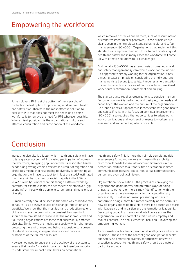#### Empowering the workforce



For employers, PPE is at the bottom of the hierarchy of controls - the last option for protecting workers from health and safety risks. Therefore, the most effective solution to deal with PPE that does not meet the needs of a diverse workforce is to remove the need for PPE wherever possible. Where it isn't possible, it is the organizational culture and effective consultation and participation of the workforce

which removes obstacles and barriers, such as discrimination or embarrassment (real or perceived). These principles are clearly seen in the new global standard on health and safety management – ISO 45001. Organizations that implement this standard will empower their workforce to participate in good health and safety and in many cases the workforce will come up with effective solutions to PPE challenges.

Additionally, ISO 45001 has an emphasis on creating a health and safety management system which works for the worker – as opposed to simply working for the organization. It has a much greater emphasis on considering the individual and managing risks beyond just safety. It requires an organization to identify hazards such as social factors including workload, work hours, victimization, harassment and bullying.

The standard also requires organizations to consider human factors – how work is performed and designed; the needs and capability of the worker; and the culture of the organization. So a 'one size fits all' approach is inconsistent with good health and safety. Finally, with its focus on continual improvement, ISO 45001 also requires "that opportunities to adapt work, work organizations and work environments to workers" are assessed and implementing where possible.

#### Conclusion

Increasing diversity is a factor which health and safety will have to take greater account of. Increasing participation of women in the workforce, an ageing population with its associated health needs plus growing ethnic diversity as a result of migration and birth rates means that responding to diversity is something all organizations will have to adapt to. In fact one study<sup>5</sup> estimated that there will be no ethnic or racial majority in the USA by 2042. 'Diversity' is more than this though. Different working patterns, for example shifts, the dependent self-employed (gig economy) or those with a portfolio career are all dimensions of diversity.

Human diversity should be seen in the same way as biodiversity in nature – as a positive source of exchange, innovation and creativity. We know that the most lush and productive regions of the world are the ones with the greatest biodiversity. It should therefore stand to reason that the most productive and flourishing organizations are those that successfully embrace diversity. Similarly we are moving to a society which champions protecting the environment and being responsible consumers of natural resources, so organizations should become custodians of their human resource.

However we need to understand the ecology of the system to ensure that we don't create imbalance. It is therefore important to understand the impact diversity has on occupational

health and safety. This is more than simply completing risk assessments for young workers or those with a mobility restriction. It needs to take into account differences in risk perception, attitudes to authority, time orientation, indirect communication, personal space, non-verbal communication, gender and even political history.

Organizational socialization – the process of conveying the organization's goals, norms, and preferred ways of doing things to its workers, or more simply 'identification with the organization' is therefore essential to managing diversity successfully. This does not mean pressuring workers to conform to a single norm but rather diversity as the norm. But how do organizations do this? Here there is no surprise; it starts with leadership and in particular transformational leadership. Developing capability in emotional intelligence across the organization is also important as this creates empathy and reduces conflict. The final element is 'inclusion' – involving and empowering workers.

Transformational leadership, emotional intelligence and worker inclusion – these are at the heart of good occupational health and safety, so embracing diversity for organizations with a proactive approach to health and safety should be a natural part of its ecology.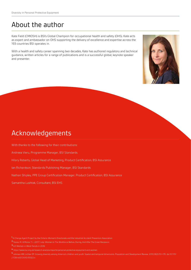#### About the author

Kate Field (CMIOSH) is BSI's Global Champion for occupational health and safety (OHS). Kate acts as expert and ambassador on OHS supporting the delivery of excellence and expertise across the 193 countries BSI operates in.

With a health and safety career spanning two decades, Kate has authored regulatory and technical guidance, written articles for a range of publications and is a successful global, keynote speaker and presenter.



#### Acknowledgements

With thanks to the following for their contributions:

Andreea Vieru, Programme Manager, BSI Standards

Hilary Roberts, Global Head of Marketing, Product Certification, BSI Assurance

Ian Richardson, Standards Publishing Manager, BSI Standards

Nathan Shipley, PPE Group Certification Manager, Product Certification, BSI Assurance

Samantha Lushtak, Consultant, BSI EHS

<sup>2</sup> Toossi, M., & Morisi, T. L. (2017, July). Women In The Workforce Before, During, And After The Great Recession

<sup>3</sup> ILO Women in Work Trends in 2016

<sup>5</sup> Johnson KM, Lichter DT. Growing diversity among America's children and youth: Spatial and temporal dimensions. Population and Development Review. 2010;36(1):151–176. doi:10.1111/ j.1728-4457.2010.00322.x